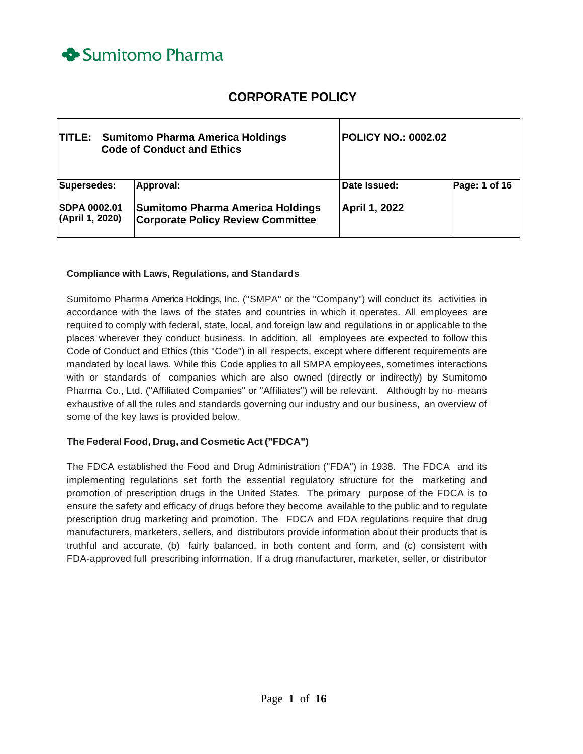

# **CORPORATE POLICY**

| <b>TITLE:</b> Sumitomo Pharma America Holdings<br><b>Code of Conduct and Ethics</b> |                                                                                                  | <b>POLICY NO.: 0002.02</b>    |               |
|-------------------------------------------------------------------------------------|--------------------------------------------------------------------------------------------------|-------------------------------|---------------|
| Supersedes:<br><b>SDPA 0002.01</b><br>(April 1, 2020)                               | Approval:<br><b>Sumitomo Pharma America Holdings</b><br><b>Corporate Policy Review Committee</b> | Date Issued:<br>April 1, 2022 | Page: 1 of 16 |

#### **Compliance with Laws, Regulations, and Standards**

Sumitomo Pharma America Holdings, Inc. ("SMPA" or the "Company") will conduct its activities in accordance with the laws of the states and countries in which it operates. All employees are required to comply with federal, state, local, and foreign law and regulations in or applicable to the places wherever they conduct business. In addition, all employees are expected to follow this Code of Conduct and Ethics (this "Code") in all respects, except where different requirements are mandated by local laws. While this Code applies to all SMPA employees, sometimes interactions with or standards of companies which are also owned (directly or indirectly) by Sumitomo Pharma Co., Ltd. ("Affiliated Companies" or "Affiliates") will be relevant. Although by no means exhaustive of all the rules and standards governing our industry and our business, an overview of some of the key laws is provided below.

#### **The Federal Food, Drug, and Cosmetic Act ("FDCA")**

The FDCA established the Food and Drug Administration ("FDA") in 1938. The FDCA and its implementing regulations set forth the essential regulatory structure for the marketing and promotion of prescription drugs in the United States. The primary purpose of the FDCA is to ensure the safety and efficacy of drugs before they become available to the public and to regulate prescription drug marketing and promotion. The FDCA and FDA regulations require that drug manufacturers, marketers, sellers, and distributors provide information about their products that is truthful and accurate, (b) fairly balanced, in both content and form, and (c) consistent with FDA-approved full prescribing information. If a drug manufacturer, marketer, seller, or distributor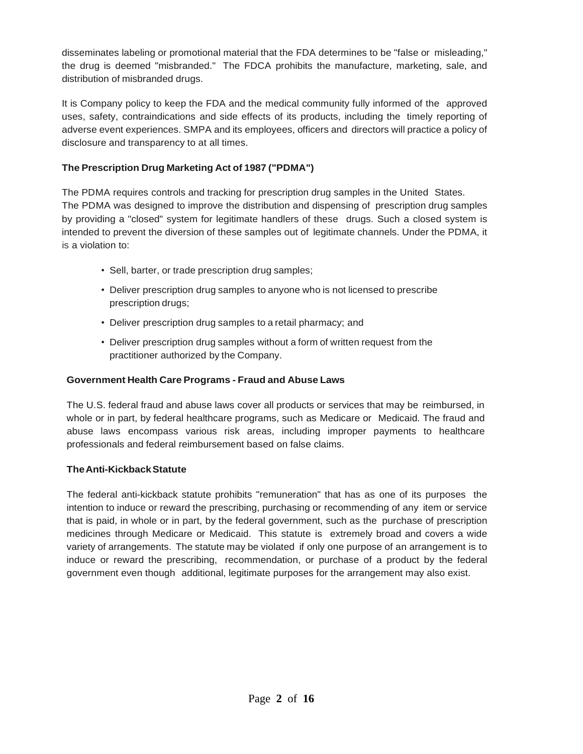disseminates labeling or promotional material that the FDA determines to be "false or misleading," the drug is deemed "misbranded." The FDCA prohibits the manufacture, marketing, sale, and distribution of misbranded drugs.

It is Company policy to keep the FDA and the medical community fully informed of the approved uses, safety, contraindications and side effects of its products, including the timely reporting of adverse event experiences. SMPA and its employees, officers and directors will practice a policy of disclosure and transparency to at all times.

# **The Prescription Drug Marketing Act of 1987 ("PDMA")**

The PDMA requires controls and tracking for prescription drug samples in the United States. The PDMA was designed to improve the distribution and dispensing of prescription drug samples by providing a "closed" system for legitimate handlers of these drugs. Such a closed system is intended to prevent the diversion of these samples out of legitimate channels. Under the PDMA, it is a violation to:

- Sell, barter, or trade prescription drug samples;
- Deliver prescription drug samples to anyone who is not licensed to prescribe prescription drugs;
- Deliver prescription drug samples to a retail pharmacy; and
- Deliver prescription drug samples without a form of written request from the practitioner authorized by the Company.

# **Government Health Care Programs - Fraud and Abuse Laws**

The U.S. federal fraud and abuse laws cover all products or services that may be reimbursed, in whole or in part, by federal healthcare programs, such as Medicare or Medicaid. The fraud and abuse laws encompass various risk areas, including improper payments to healthcare professionals and federal reimbursement based on false claims.

# **TheAnti-KickbackStatute**

The federal anti-kickback statute prohibits "remuneration" that has as one of its purposes the intention to induce or reward the prescribing, purchasing or recommending of any item or service that is paid, in whole or in part, by the federal government, such as the purchase of prescription medicines through Medicare or Medicaid. This statute is extremely broad and covers a wide variety of arrangements. The statute may be violated if only one purpose of an arrangement is to induce or reward the prescribing, recommendation, or purchase of a product by the federal government even though additional, legitimate purposes for the arrangement may also exist.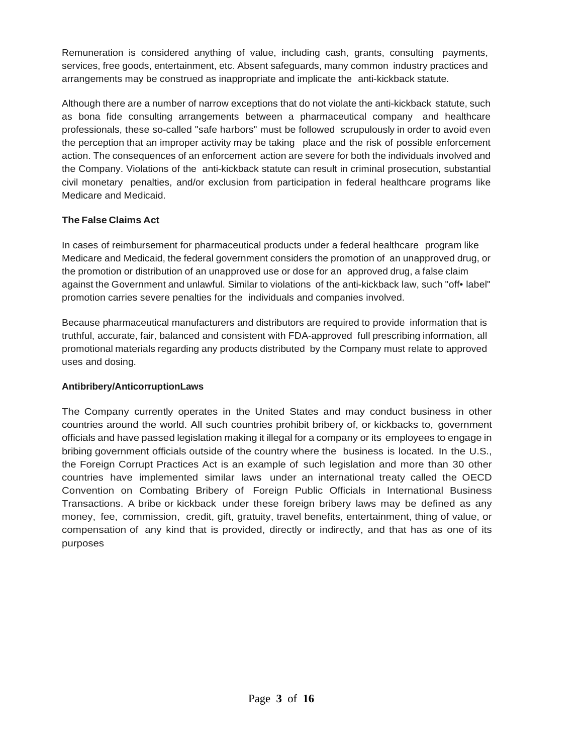Remuneration is considered anything of value, including cash, grants, consulting payments, services, free goods, entertainment, etc. Absent safeguards, many common industry practices and arrangements may be construed as inappropriate and implicate the anti-kickback statute.

Although there are a number of narrow exceptions that do not violate the anti-kickback statute, such as bona fide consulting arrangements between a pharmaceutical company and healthcare professionals, these so-called "safe harbors" must be followed scrupulously in order to avoid even the perception that an improper activity may be taking place and the risk of possible enforcement action. The consequences of an enforcement action are severe for both the individuals involved and the Company. Violations of the anti-kickback statute can result in criminal prosecution, substantial civil monetary penalties, and/or exclusion from participation in federal healthcare programs like Medicare and Medicaid.

# **The False Claims Act**

In cases of reimbursement for pharmaceutical products under a federal healthcare program like Medicare and Medicaid, the federal government considers the promotion of an unapproved drug, or the promotion or distribution of an unapproved use or dose for an approved drug, a false claim against the Government and unlawful. Similar to violations of the anti-kickback law, such "off• label" promotion carries severe penalties for the individuals and companies involved.

Because pharmaceutical manufacturers and distributors are required to provide information that is truthful, accurate, fair, balanced and consistent with FDA-approved full prescribing information, all promotional materials regarding any products distributed by the Company must relate to approved uses and dosing.

# **Antibribery/AnticorruptionLaws**

The Company currently operates in the United States and may conduct business in other countries around the world. All such countries prohibit bribery of, or kickbacks to, government officials and have passed legislation making it illegal for a company or its employees to engage in bribing government officials outside of the country where the business is located. In the U.S., the Foreign Corrupt Practices Act is an example of such legislation and more than 30 other countries have implemented similar laws under an international treaty called the OECD Convention on Combating Bribery of Foreign Public Officials in International Business Transactions. A bribe or kickback under these foreign bribery laws may be defined as any money, fee, commission, credit, gift, gratuity, travel benefits, entertainment, thing of value, or compensation of any kind that is provided, directly or indirectly, and that has as one of its purposes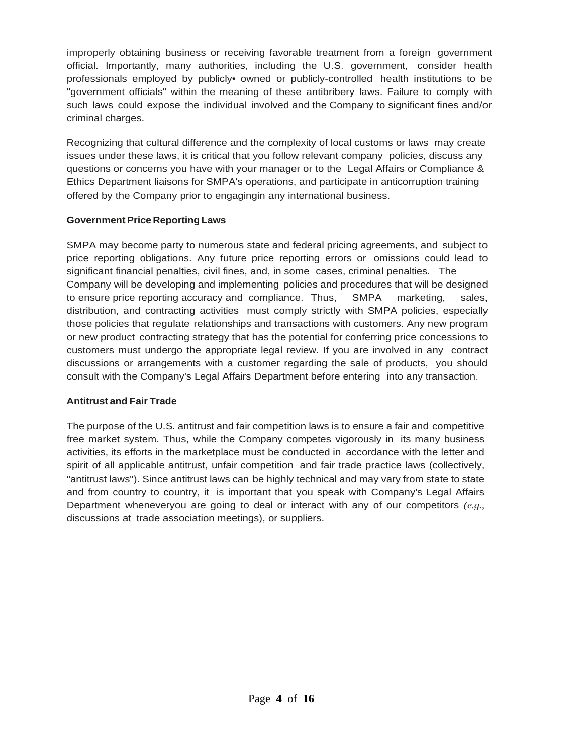improperly obtaining business or receiving favorable treatment from a foreign government official. Importantly, many authorities, including the U.S. government, consider health professionals employed by publicly• owned or publicly-controlled health institutions to be "government officials" within the meaning of these antibribery laws. Failure to comply with such laws could expose the individual involved and the Company to significant fines and/or criminal charges.

Recognizing that cultural difference and the complexity of local customs or laws may create issues under these laws, it is critical that you follow relevant company policies, discuss any questions or concerns you have with your manager or to the Legal Affairs or Compliance & Ethics Department liaisons for SMPA's operations, and participate in anticorruption training offered by the Company prior to engagingin any international business.

### **GovernmentPrice Reporting Laws**

SMPA may become party to numerous state and federal pricing agreements, and subject to price reporting obligations. Any future price reporting errors or omissions could lead to significant financial penalties, civil fines, and, in some cases, criminal penalties. The Company will be developing and implementing policies and procedures that will be designed to ensure price reporting accuracy and compliance. Thus, SMPA marketing, sales, distribution, and contracting activities must comply strictly with SMPA policies, especially those policies that regulate relationships and transactions with customers. Any new program or new product contracting strategy that has the potential for conferring price concessions to customers must undergo the appropriate legal review. If you are involved in any contract discussions or arrangements with a customer regarding the sale of products, you should consult with the Company's Legal Affairs Department before entering into any transaction.

#### **Antitrust and Fair Trade**

The purpose of the U.S. antitrust and fair competition laws is to ensure a fair and competitive free market system. Thus, while the Company competes vigorously in its many business activities, its efforts in the marketplace must be conducted in accordance with the letter and spirit of all applicable antitrust, unfair competition and fair trade practice laws (collectively, "antitrust laws"). Since antitrust laws can be highly technical and may vary from state to state and from country to country, it is important that you speak with Company's Legal Affairs Department wheneveryou are going to deal or interact with any of our competitors *(e.g.,* discussions at trade association meetings), or suppliers.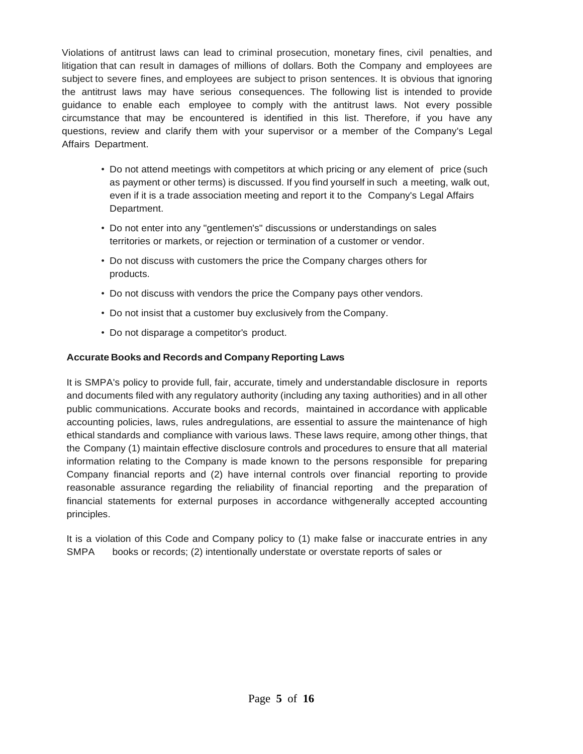Violations of antitrust laws can lead to criminal prosecution, monetary fines, civil penalties, and litigation that can result in damages of millions of dollars. Both the Company and employees are subject to severe fines, and employees are subject to prison sentences. It is obvious that ignoring the antitrust laws may have serious consequences. The following list is intended to provide guidance to enable each employee to comply with the antitrust laws. Not every possible circumstance that may be encountered is identified in this list. Therefore, if you have any questions, review and clarify them with your supervisor or a member of the Company's Legal Affairs Department.

- Do not attend meetings with competitors at which pricing or any element of price (such as payment or other terms) is discussed. If you find yourself in such a meeting, walk out, even if it is a trade association meeting and report it to the Company's Legal Affairs Department.
- Do not enter into any "gentlemen's" discussions or understandings on sales territories or markets, or rejection or termination of a customer or vendor.
- Do not discuss with customers the price the Company charges others for products.
- Do not discuss with vendors the price the Company pays other vendors.
- Do not insist that a customer buy exclusively from the Company.
- Do not disparage a competitor's product.

#### **Accurate Books and Records and Company Reporting Laws**

It is SMPA's policy to provide full, fair, accurate, timely and understandable disclosure in reports and documents filed with any regulatory authority (including any taxing authorities) and in all other public communications. Accurate books and records, maintained in accordance with applicable accounting policies, laws, rules andregulations, are essential to assure the maintenance of high ethical standards and compliance with various laws. These laws require, among other things, that the Company (1) maintain effective disclosure controls and procedures to ensure that all material information relating to the Company is made known to the persons responsible for preparing Company financial reports and (2) have internal controls over financial reporting to provide reasonable assurance regarding the reliability of financial reporting and the preparation of financial statements for external purposes in accordance withgenerally accepted accounting principles.

It is a violation of this Code and Company policy to (1) make false or inaccurate entries in any SMPA books or records; (2) intentionally understate or overstate reports of sales or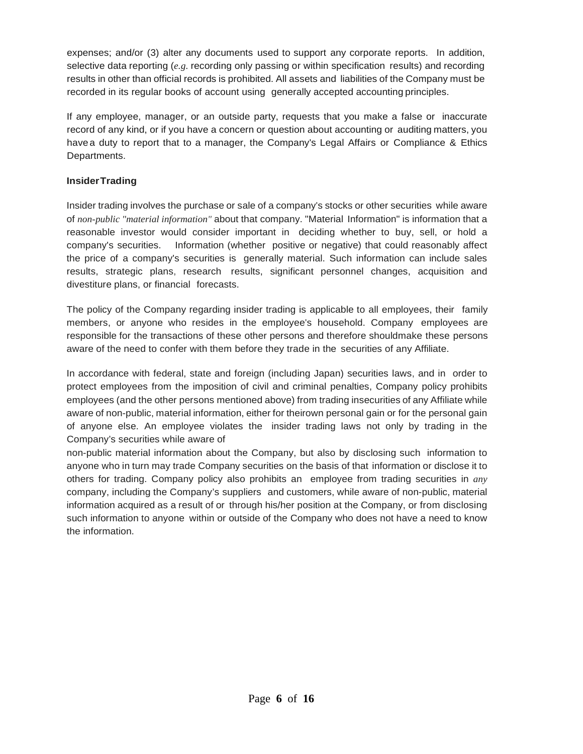expenses; and/or (3) alter any documents used to support any corporate reports. In addition, selective data reporting (*e.g.* recording only passing or within specification results) and recording results in other than official records is prohibited. All assets and liabilities of the Company must be recorded in its regular books of account using generally accepted accounting principles.

If any employee, manager, or an outside party, requests that you make a false or inaccurate record of any kind, or if you have a concern or question about accounting or auditing matters, you have a duty to report that to a manager, the Company's Legal Affairs or Compliance & Ethics Departments.

### **InsiderTrading**

Insider trading involves the purchase or sale of a company's stocks or other securities while aware of *non-public "material information"* about that company. "Material Information" is information that a reasonable investor would consider important in deciding whether to buy, sell, or hold a company's securities. Information (whether positive or negative) that could reasonably affect the price of a company's securities is generally material. Such information can include sales results, strategic plans, research results, significant personnel changes, acquisition and divestiture plans, or financial forecasts.

The policy of the Company regarding insider trading is applicable to all employees, their family members, or anyone who resides in the employee's household. Company employees are responsible for the transactions of these other persons and therefore shouldmake these persons aware of the need to confer with them before they trade in the securities of any Affiliate.

In accordance with federal, state and foreign (including Japan) securities laws, and in order to protect employees from the imposition of civil and criminal penalties, Company policy prohibits employees (and the other persons mentioned above) from trading insecurities of any Affiliate while aware of non-public, material information, either for theirown personal gain or for the personal gain of anyone else. An employee violates the insider trading laws not only by trading in the Company's securities while aware of

non-public material information about the Company, but also by disclosing such information to anyone who in turn may trade Company securities on the basis of that information or disclose it to others for trading. Company policy also prohibits an employee from trading securities in *any*  company, including the Company's suppliers and customers, while aware of non-public, material information acquired as a result of or through his/her position at the Company, or from disclosing such information to anyone within or outside of the Company who does not have a need to know the information.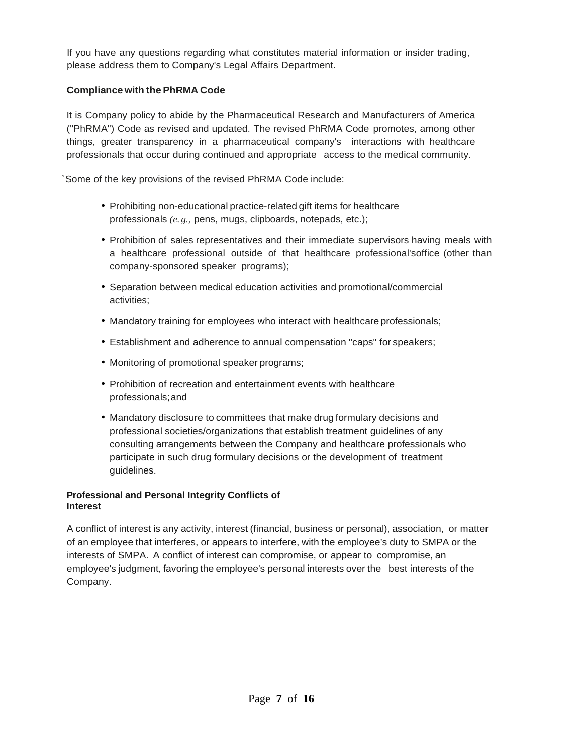If you have any questions regarding what constitutes material information or insider trading, please address them to Company's Legal Affairs Department.

# **Compliance with the PhRMA Code**

It is Company policy to abide by the Pharmaceutical Research and Manufacturers of America ("PhRMA") Code as revised and updated. The revised PhRMA Code promotes, among other things, greater transparency in a pharmaceutical company's interactions with healthcare professionals that occur during continued and appropriate access to the medical community.

`Some of the key provisions of the revised PhRMA Code include:

- Prohibiting non-educational practice-related gift items for healthcare professionals *(e. g.,* pens, mugs, clipboards, notepads, etc.);
- Prohibition of sales representatives and their immediate supervisors having meals with a healthcare professional outside of that healthcare professional'soffice (other than company-sponsored speaker programs);
- Separation between medical education activities and promotional/commercial activities;
- Mandatory training for employees who interact with healthcare professionals;
- Establishment and adherence to annual compensation "caps" for speakers;
- Monitoring of promotional speaker programs;
- Prohibition of recreation and entertainment events with healthcare professionals;and
- Mandatory disclosure to committees that make drug formulary decisions and professional societies/organizations that establish treatment guidelines of any consulting arrangements between the Company and healthcare professionals who participate in such drug formulary decisions or the development of treatment guidelines.

# **Professional and Personal Integrity Conflicts of Interest**

A conflict of interest is any activity, interest (financial, business or personal), association, or matter of an employee that interferes, or appears to interfere, with the employee's duty to SMPA or the interests of SMPA. A conflict of interest can compromise, or appear to compromise, an employee's judgment, favoring the employee's personal interests over the best interests of the Company.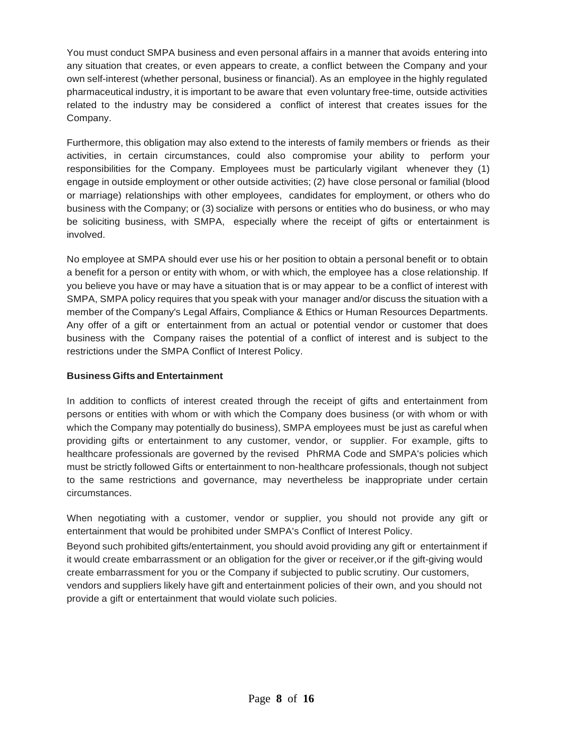You must conduct SMPA business and even personal affairs in a manner that avoids entering into any situation that creates, or even appears to create, a conflict between the Company and your own self-interest (whether personal, business or financial). As an employee in the highly regulated pharmaceutical industry, it is important to be aware that even voluntary free-time, outside activities related to the industry may be considered a conflict of interest that creates issues for the Company.

Furthermore, this obligation may also extend to the interests of family members or friends as their activities, in certain circumstances, could also compromise your ability to perform your responsibilities for the Company. Employees must be particularly vigilant whenever they (1) engage in outside employment or other outside activities; (2) have close personal or familial (blood or marriage) relationships with other employees, candidates for employment, or others who do business with the Company; or (3) socialize with persons or entities who do business, or who may be soliciting business, with SMPA, especially where the receipt of gifts or entertainment is involved.

No employee at SMPA should ever use his or her position to obtain a personal benefit or to obtain a benefit for a person or entity with whom, or with which, the employee has a close relationship. If you believe you have or may have a situation that is or may appear to be a conflict of interest with SMPA, SMPA policy requires that you speak with your manager and/or discuss the situation with a member of the Company's Legal Affairs, Compliance & Ethics or Human Resources Departments. Any offer of a gift or entertainment from an actual or potential vendor or customer that does business with the Company raises the potential of a conflict of interest and is subject to the restrictions under the SMPA Conflict of Interest Policy.

### **Business Gifts and Entertainment**

In addition to conflicts of interest created through the receipt of gifts and entertainment from persons or entities with whom or with which the Company does business (or with whom or with which the Company may potentially do business), SMPA employees must be just as careful when providing gifts or entertainment to any customer, vendor, or supplier. For example, gifts to healthcare professionals are governed by the revised PhRMA Code and SMPA's policies which must be strictly followed Gifts or entertainment to non-healthcare professionals, though not subject to the same restrictions and governance, may nevertheless be inappropriate under certain circumstances.

When negotiating with a customer, vendor or supplier, you should not provide any gift or entertainment that would be prohibited under SMPA's Conflict of Interest Policy.

Beyond such prohibited gifts/entertainment, you should avoid providing any gift or entertainment if it would create embarrassment or an obligation for the giver or receiver,or if the gift-giving would create embarrassment for you or the Company if subjected to public scrutiny. Our customers, vendors and suppliers likely have gift and entertainment policies of their own, and you should not provide a gift or entertainment that would violate such policies.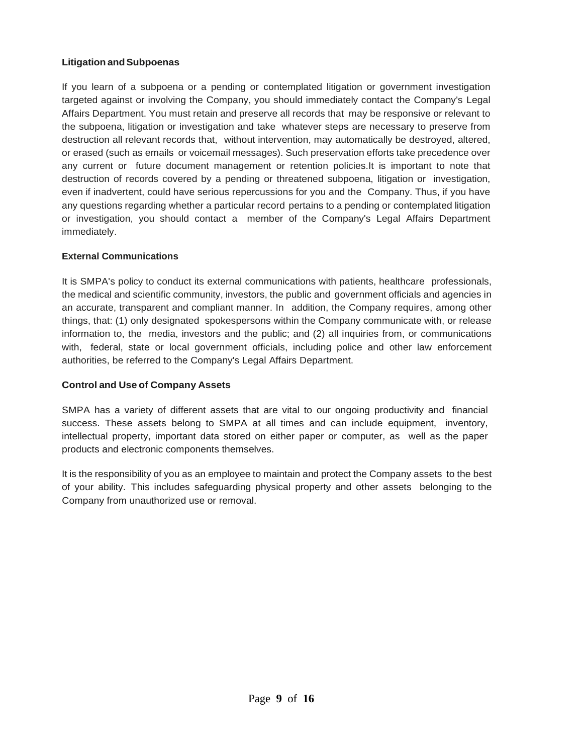### **Litigation andSubpoenas**

If you learn of a subpoena or a pending or contemplated litigation or government investigation targeted against or involving the Company, you should immediately contact the Company's Legal Affairs Department. You must retain and preserve all records that may be responsive or relevant to the subpoena, litigation or investigation and take whatever steps are necessary to preserve from destruction all relevant records that, without intervention, may automatically be destroyed, altered, or erased (such as emails or voicemail messages). Such preservation efforts take precedence over any current or future document management or retention policies.It is important to note that destruction of records covered by a pending or threatened subpoena, litigation or investigation, even if inadvertent, could have serious repercussions for you and the Company. Thus, if you have any questions regarding whether a particular record pertains to a pending or contemplated litigation or investigation, you should contact a member of the Company's Legal Affairs Department immediately.

### **External Communications**

It is SMPA's policy to conduct its external communications with patients, healthcare professionals, the medical and scientific community, investors, the public and government officials and agencies in an accurate, transparent and compliant manner. In addition, the Company requires, among other things, that: (1) only designated spokespersons within the Company communicate with, or release information to, the media, investors and the public; and (2) all inquiries from, or communications with, federal, state or local government officials, including police and other law enforcement authorities, be referred to the Company's Legal Affairs Department.

#### **Control and Use of Company Assets**

SMPA has a variety of different assets that are vital to our ongoing productivity and financial success. These assets belong to SMPA at all times and can include equipment, inventory, intellectual property, important data stored on either paper or computer, as well as the paper products and electronic components themselves.

It is the responsibility of you as an employee to maintain and protect the Company assets to the best of your ability. This includes safeguarding physical property and other assets belonging to the Company from unauthorized use or removal.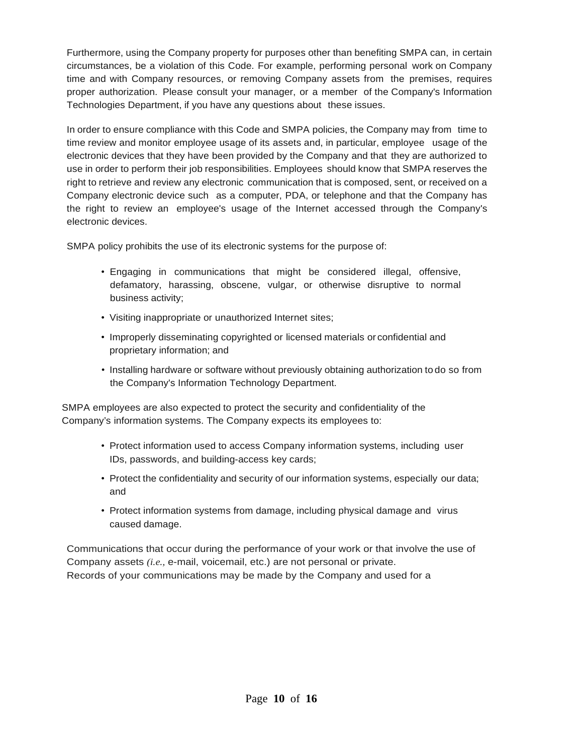Furthermore, using the Company property for purposes other than benefiting SMPA can, in certain circumstances, be a violation of this Code. For example, performing personal work on Company time and with Company resources, or removing Company assets from the premises, requires proper authorization. Please consult your manager, or a member of the Company's Information Technologies Department, if you have any questions about these issues.

In order to ensure compliance with this Code and SMPA policies, the Company may from time to time review and monitor employee usage of its assets and, in particular, employee usage of the electronic devices that they have been provided by the Company and that they are authorized to use in order to perform their job responsibilities. Employees should know that SMPA reserves the right to retrieve and review any electronic communication that is composed, sent, or received on a Company electronic device such as a computer, PDA, or telephone and that the Company has the right to review an employee's usage of the Internet accessed through the Company's electronic devices.

SMPA policy prohibits the use of its electronic systems for the purpose of:

- Engaging in communications that might be considered illegal, offensive, defamatory, harassing, obscene, vulgar, or otherwise disruptive to normal business activity;
- Visiting inappropriate or unauthorized Internet sites;
- Improperly disseminating copyrighted or licensed materials or confidential and proprietary information; and
- Installing hardware or software without previously obtaining authorization to do so from the Company's Information Technology Department.

SMPA employees are also expected to protect the security and confidentiality of the Company's information systems. The Company expects its employees to:

- Protect information used to access Company information systems, including user IDs, passwords, and building-access key cards;
- Protect the confidentiality and security of our information systems, especially our data; and
- Protect information systems from damage, including physical damage and virus caused damage.

Communications that occur during the performance of your work or that involve the use of Company assets *(i.e.,* e-mail, voicemail, etc.) are not personal or private. Records of your communications may be made by the Company and used for a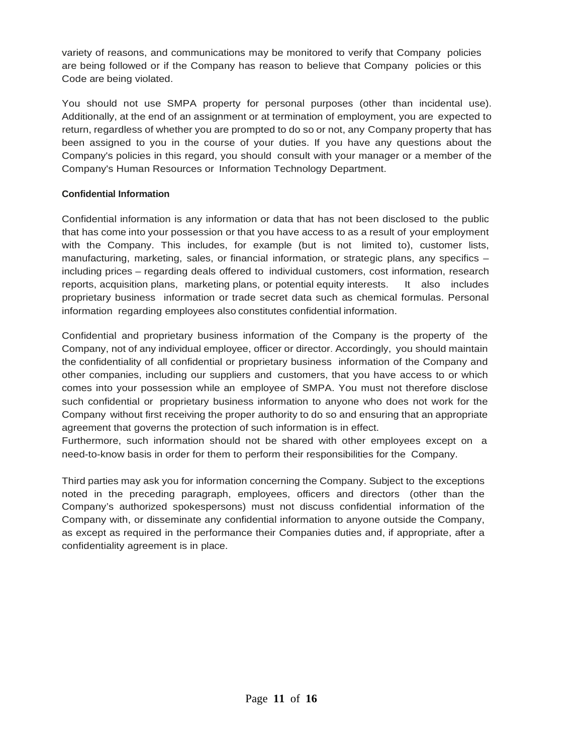variety of reasons, and communications may be monitored to verify that Company policies are being followed or if the Company has reason to believe that Company policies or this Code are being violated.

You should not use SMPA property for personal purposes (other than incidental use). Additionally, at the end of an assignment or at termination of employment, you are expected to return, regardless of whether you are prompted to do so or not, any Company property that has been assigned to you in the course of your duties. If you have any questions about the Company's policies in this regard, you should consult with your manager or a member of the Company's Human Resources or Information Technology Department.

### **Confidential Information**

Confidential information is any information or data that has not been disclosed to the public that has come into your possession or that you have access to as a result of your employment with the Company. This includes, for example (but is not limited to), customer lists, manufacturing, marketing, sales, or financial information, or strategic plans, any specifics – including prices – regarding deals offered to individual customers, cost information, research reports, acquisition plans, marketing plans, or potential equity interests. It also includes proprietary business information or trade secret data such as chemical formulas. Personal information regarding employees also constitutes confidential information.

Confidential and proprietary business information of the Company is the property of the Company, not of any individual employee, officer or director. Accordingly, you should maintain the confidentiality of all confidential or proprietary business information of the Company and other companies, including our suppliers and customers, that you have access to or which comes into your possession while an employee of SMPA. You must not therefore disclose such confidential or proprietary business information to anyone who does not work for the Company without first receiving the proper authority to do so and ensuring that an appropriate agreement that governs the protection of such information is in effect.

Furthermore, such information should not be shared with other employees except on a need-to-know basis in order for them to perform their responsibilities for the Company.

Third parties may ask you for information concerning the Company. Subject to the exceptions noted in the preceding paragraph, employees, officers and directors (other than the Company's authorized spokespersons) must not discuss confidential information of the Company with, or disseminate any confidential information to anyone outside the Company, as except as required in the performance their Companies duties and, if appropriate, after a confidentiality agreement is in place.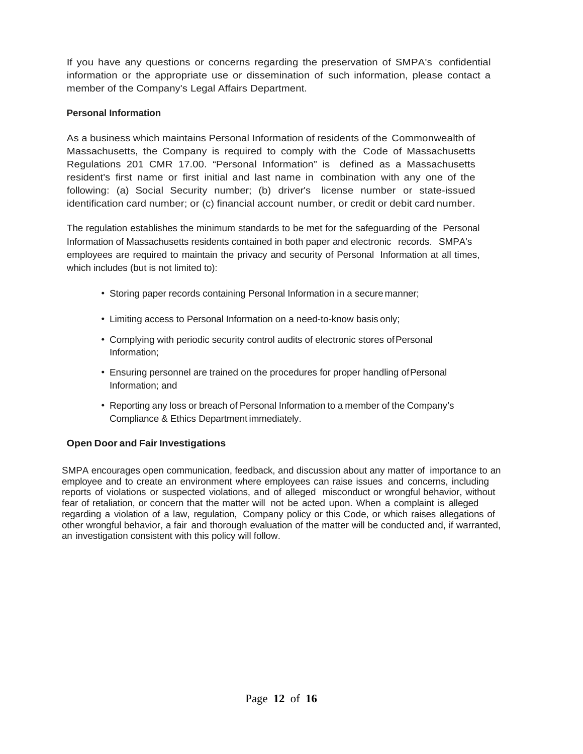If you have any questions or concerns regarding the preservation of SMPA's confidential information or the appropriate use or dissemination of such information, please contact a member of the Company's Legal Affairs Department.

# **Personal Information**

As a business which maintains Personal Information of residents of the Commonwealth of Massachusetts, the Company is required to comply with the Code of Massachusetts Regulations 201 CMR 17.00. "Personal Information" is defined as a Massachusetts resident's first name or first initial and last name in combination with any one of the following: (a) Social Security number; (b) driver's license number or state-issued identification card number; or (c) financial account number, or credit or debit card number.

The regulation establishes the minimum standards to be met for the safeguarding of the Personal Information of Massachusetts residents contained in both paper and electronic records. SMPA's employees are required to maintain the privacy and security of Personal Information at all times, which includes (but is not limited to):

- Storing paper records containing Personal Information in a secure manner;
- Limiting access to Personal Information on a need-to-know basis only;
- Complying with periodic security control audits of electronic stores of Personal Information;
- Ensuring personnel are trained on the procedures for proper handling of Personal Information; and
- Reporting any loss or breach of Personal Information to a member of the Company's Compliance & Ethics Department immediately.

# **Open Door and Fair Investigations**

SMPA encourages open communication, feedback, and discussion about any matter of importance to an employee and to create an environment where employees can raise issues and concerns, including reports of violations or suspected violations, and of alleged misconduct or wrongful behavior, without fear of retaliation, or concern that the matter will not be acted upon. When a complaint is alleged regarding a violation of a law, regulation, Company policy or this Code, or which raises allegations of other wrongful behavior, a fair and thorough evaluation of the matter will be conducted and, if warranted, an investigation consistent with this policy will follow.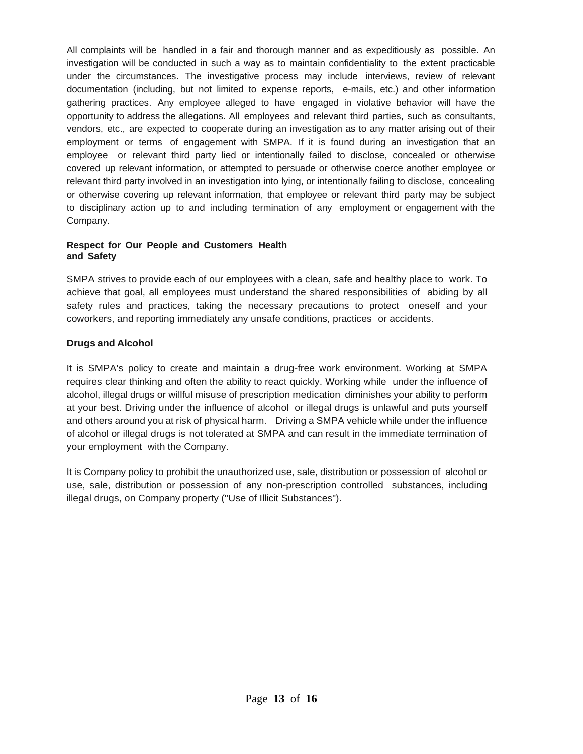All complaints will be handled in a fair and thorough manner and as expeditiously as possible. An investigation will be conducted in such a way as to maintain confidentiality to the extent practicable under the circumstances. The investigative process may include interviews, review of relevant documentation (including, but not limited to expense reports, e-mails, etc.) and other information gathering practices. Any employee alleged to have engaged in violative behavior will have the opportunity to address the allegations. All employees and relevant third parties, such as consultants, vendors, etc., are expected to cooperate during an investigation as to any matter arising out of their employment or terms of engagement with SMPA. If it is found during an investigation that an employee or relevant third party lied or intentionally failed to disclose, concealed or otherwise covered up relevant information, or attempted to persuade or otherwise coerce another employee or relevant third party involved in an investigation into lying, or intentionally failing to disclose, concealing or otherwise covering up relevant information, that employee or relevant third party may be subject to disciplinary action up to and including termination of any employment or engagement with the Company.

#### **Respect for Our People and Customers Health and Safety**

SMPA strives to provide each of our employees with a clean, safe and healthy place to work. To achieve that goal, all employees must understand the shared responsibilities of abiding by all safety rules and practices, taking the necessary precautions to protect oneself and your coworkers, and reporting immediately any unsafe conditions, practices or accidents.

# **Drugs and Alcohol**

It is SMPA's policy to create and maintain a drug-free work environment. Working at SMPA requires clear thinking and often the ability to react quickly. Working while under the influence of alcohol, illegal drugs or willful misuse of prescription medication diminishes your ability to perform at your best. Driving under the influence of alcohol or illegal drugs is unlawful and puts yourself and others around you at risk of physical harm. Driving a SMPA vehicle while under the influence of alcohol or illegal drugs is not tolerated at SMPA and can result in the immediate termination of your employment with the Company.

It is Company policy to prohibit the unauthorized use, sale, distribution or possession of alcohol or use, sale, distribution or possession of any non-prescription controlled substances, including illegal drugs, on Company property ("Use of Illicit Substances").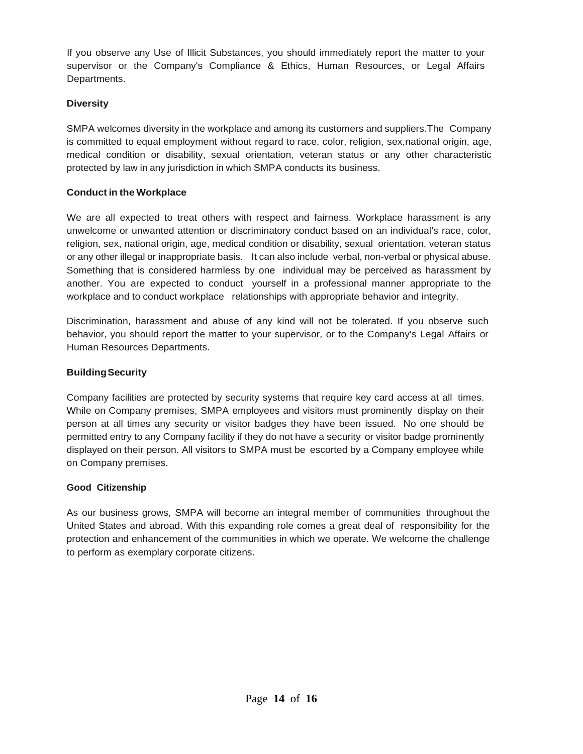If you observe any Use of Illicit Substances, you should immediately report the matter to your supervisor or the Company's Compliance & Ethics, Human Resources, or Legal Affairs Departments.

# **Diversity**

SMPA welcomes diversity in the workplace and among its customers and suppliers.The Company is committed to equal employment without regard to race, color, religion, sex,national origin, age, medical condition or disability, sexual orientation, veteran status or any other characteristic protected by law in any jurisdiction in which SMPA conducts its business.

# **Conduct in the Workplace**

We are all expected to treat others with respect and fairness. Workplace harassment is any unwelcome or unwanted attention or discriminatory conduct based on an individual's race, color, religion, sex, national origin, age, medical condition or disability, sexual orientation, veteran status or any other illegal or inappropriate basis. It can also include verbal, non-verbal or physical abuse. Something that is considered harmless by one individual may be perceived as harassment by another. You are expected to conduct yourself in a professional manner appropriate to the workplace and to conduct workplace relationships with appropriate behavior and integrity.

Discrimination, harassment and abuse of any kind will not be tolerated. If you observe such behavior, you should report the matter to your supervisor, or to the Company's Legal Affairs or Human Resources Departments.

# **BuildingSecurity**

Company facilities are protected by security systems that require key card access at all times. While on Company premises, SMPA employees and visitors must prominently display on their person at all times any security or visitor badges they have been issued. No one should be permitted entry to any Company facility if they do not have a security or visitor badge prominently displayed on their person. All visitors to SMPA must be escorted by a Company employee while on Company premises.

# **Good Citizenship**

As our business grows, SMPA will become an integral member of communities throughout the United States and abroad. With this expanding role comes a great deal of responsibility for the protection and enhancement of the communities in which we operate. We welcome the challenge to perform as exemplary corporate citizens.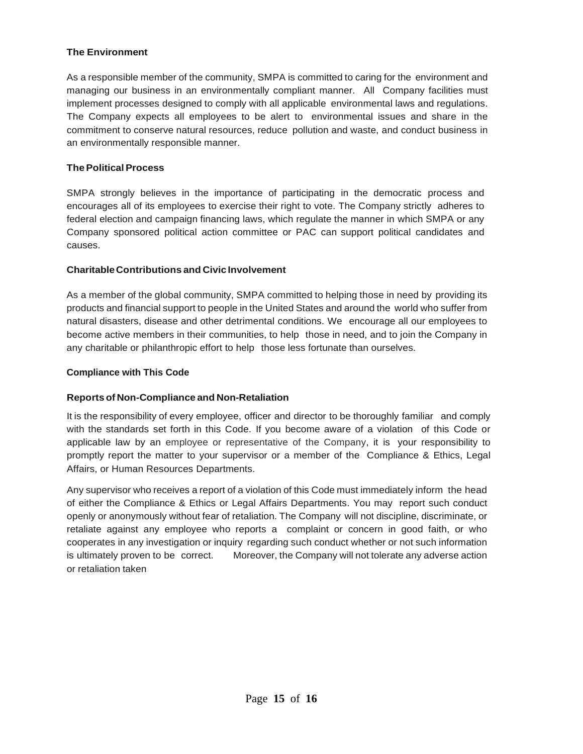### **The Environment**

As a responsible member of the community, SMPA is committed to caring for the environment and managing our business in an environmentally compliant manner. All Company facilities must implement processes designed to comply with all applicable environmental laws and regulations. The Company expects all employees to be alert to environmental issues and share in the commitment to conserve natural resources, reduce pollution and waste, and conduct business in an environmentally responsible manner.

### **ThePoliticalProcess**

SMPA strongly believes in the importance of participating in the democratic process and encourages all of its employees to exercise their right to vote. The Company strictly adheres to federal election and campaign financing laws, which regulate the manner in which SMPA or any Company sponsored political action committee or PAC can support political candidates and causes.

### **CharitableContributions and Civic Involvement**

As a member of the global community, SMPA committed to helping those in need by providing its products and financial support to people in the United States and around the world who suffer from natural disasters, disease and other detrimental conditions. We encourage all our employees to become active members in their communities, to help those in need, and to join the Company in any charitable or philanthropic effort to help those less fortunate than ourselves.

### **Compliance with This Code**

# **Reports of Non-Compliance and Non-Retaliation**

It is the responsibility of every employee, officer and director to be thoroughly familiar and comply with the standards set forth in this Code. If you become aware of a violation of this Code or applicable law by an employee or representative of the Company, it is your responsibility to promptly report the matter to your supervisor or a member of the Compliance & Ethics, Legal Affairs, or Human Resources Departments.

Any supervisor who receives a report of a violation of this Code must immediately inform the head of either the Compliance & Ethics or Legal Affairs Departments. You may report such conduct openly or anonymously without fear of retaliation. The Company will not discipline, discriminate, or retaliate against any employee who reports a complaint or concern in good faith, or who cooperates in any investigation or inquiry regarding such conduct whether or not such information is ultimately proven to be correct. Moreover, the Company will not tolerate any adverse action or retaliation taken